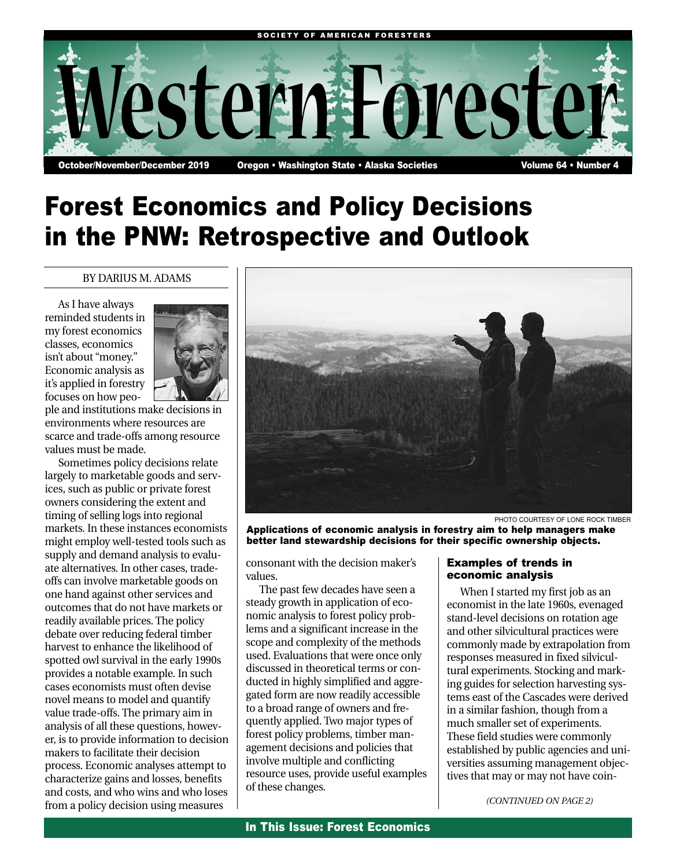

# Forest Economics and Policy Decisions in the PNW: Retrospective and Outlook

#### BY DARIUS M. ADAMS

As I have always reminded students in my forest economics classes, economics isn't about "money." Economic analysis as it's applied in forestry focuses on how peo-



ple and institutions make decisions in environments where resources are scarce and trade-offs among resource values must be made.

Sometimes policy decisions relate largely to marketable goods and services, such as public or private forest owners considering the extent and timing of selling logs into regional markets. In these instances economists might employ well-tested tools such as supply and demand analysis to evaluate alternatives. In other cases, tradeoffs can involve marketable goods on one hand against other services and outcomes that do not have markets or readily available prices. The policy debate over reducing federal timber harvest to enhance the likelihood of spotted owl survival in the early 1990s provides a notable example. In such cases economists must often devise novel means to model and quantify value trade-offs. The primary aim in analysis of all these questions, however, is to provide information to decision makers to facilitate their decision process. Economic analyses attempt to characterize gains and losses, benefits and costs, and who wins and who loses from a policy decision using measures



PHOTO COURTESY OF LONE ROCK TIMBER

Applications of economic analysis in forestry aim to help managers make better land stewardship decisions for their specific ownership objects.

consonant with the decision maker's values.

The past few decades have seen a steady growth in application of economic analysis to forest policy problems and a significant increase in the scope and complexity of the methods used. Evaluations that were once only discussed in theoretical terms or conducted in highly simplified and aggregated form are now readily accessible to a broad range of owners and frequently applied. Two major types of forest policy problems, timber management decisions and policies that involve multiple and conflicting resource uses, provide useful examples of these changes.

#### Examples of trends in economic analysis

When I started my first job as an economist in the late 1960s, evenaged stand-level decisions on rotation age and other silvicultural practices were commonly made by extrapolation from responses measured in fixed silvicultural experiments. Stocking and marking guides for selection harvesting systems east of the Cascades were derived in a similar fashion, though from a much smaller set of experiments. These field studies were commonly established by public agencies and universities assuming management objectives that may or may not have coin-

*(CONTINUED ON PAGE 2)*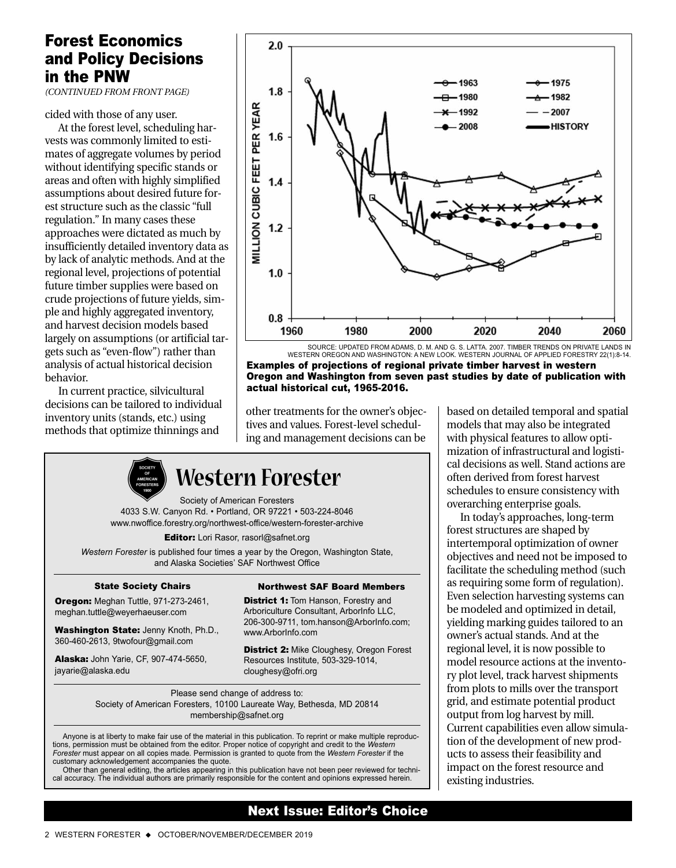### Forest Economics and Policy Decisions in the PNW

*(CONTINUED FROM FRONT PAGE)*

cided with those of any user.

At the forest level, scheduling harvests was commonly limited to estimates of aggregate volumes by period without identifying specific stands or areas and often with highly simplified assumptions about desired future forest structure such as the classic "full regulation." In many cases these approaches were dictated as much by insufficiently detailed inventory data as by lack of analytic methods. And at the regional level, projections of potential future timber supplies were based on crude projections of future yields, simple and highly aggregated inventory, and harvest decision models based largely on assumptions (or artificial targets such as "even-flow") rather than analysis of actual historical decision behavior.

In current practice, silvicultural decisions can be tailored to individual inventory units (stands, etc.) using methods that optimize thinnings and



SOURCE: UPDATED FROM ADAMS, D. M. AND G. S. LATTA. 2007. TIMBER TRENDS ON PRIVATE LANDS IN WESTERN OREGON AND WASHINGTON: A NEW LOOK. WESTERN JOURNAL OF APPLIED FORESTRY 22(1):8-14. Examples of projections of regional private timber harvest in western Oregon and Washington from seven past studies by date of publication with actual historical cut, 1965-2016.

other treatments for the owner's objectives and values. Forest-level scheduling and management decisions can be



## **Western Forester**

Society of American Foresters 4033 S.W. Canyon Rd. • Portland, OR 97221 • 503-224-8046 www.nwoffice.forestry.org/northwest-office/western-forester-archive

Editor: Lori Rasor, rasorl@safnet.org

*Western Forester* is published four times a year by the Oregon, Washington State, and Alaska Societies' SAF Northwest Office

#### State Society Chairs

Oregon: Meghan Tuttle, 971-273-2461, meghan.tuttle@weyerhaeuser.com

Washington State: Jenny Knoth, Ph.D., 360-460-2613, 9twofour@gmail.com

Alaska: John Yarie, CF, 907-474-5650, jayarie@alaska.edu

Northwest SAF Board Members **District 1: Tom Hanson, Forestry and** 

Arboriculture Consultant, ArborInfo LLC, 206-300-9711, tom.hanson@ArborInfo.com; www.ArborInfo.com

**District 2: Mike Cloughesy, Oregon Forest** Resources Institute, 503-329-1014, cloughesy@ofri.org

Please send change of address to: Society of American Foresters, 10100 Laureate Way, Bethesda, MD 20814 membership@safnet.org

Anyone is at liberty to make fair use of the material in this publication. To reprint or make multiple reproductions, permission must be obtained from the editor. Proper notice of copyright and credit to the *Western Forester* must appear on all copies made. Permission is granted to quote from the *Western Forester* if the customary acknowledgement accompanies the quote.

Other than general editing, the articles appearing in this publication have not been peer reviewed for technical accuracy. The individual authors are primarily responsible for the content and opinions expressed herein.

#### Next Issue: Editor's Choice

based on detailed temporal and spatial models that may also be integrated with physical features to allow optimization of infrastructural and logistical decisions as well. Stand actions are often derived from forest harvest schedules to ensure consistency with overarching enterprise goals.

In today's approaches, long-term forest structures are shaped by intertemporal optimization of owner objectives and need not be imposed to facilitate the scheduling method (such as requiring some form of regulation). Even selection harvesting systems can be modeled and optimized in detail, yielding marking guides tailored to an owner's actual stands. And at the regional level, it is now possible to model resource actions at the inventory plot level, track harvest shipments from plots to mills over the transport grid, and estimate potential product output from log harvest by mill. Current capabilities even allow simulation of the development of new products to assess their feasibility and impact on the forest resource and existing industries.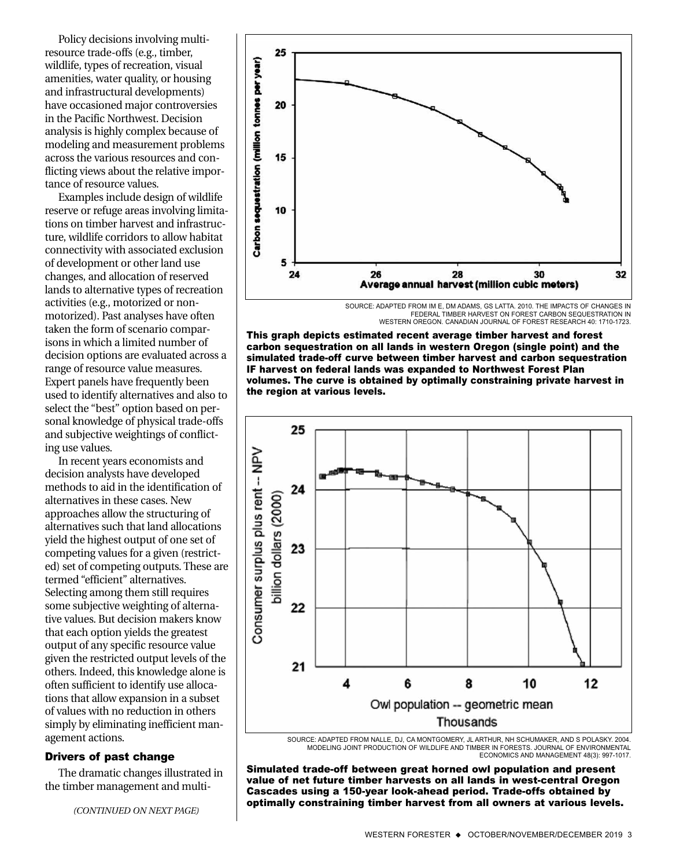Policy decisions involving multiresource trade-offs (e.g., timber, wildlife, types of recreation, visual amenities, water quality, or housing and infrastructural developments) have occasioned major controversies in the Pacific Northwest. Decision analysis is highly complex because of modeling and measurement problems across the various resources and conflicting views about the relative importance of resource values.

Examples include design of wildlife reserve or refuge areas involving limitations on timber harvest and infrastructure, wildlife corridors to allow habitat connectivity with associated exclusion of development or other land use changes, and allocation of reserved lands to alternative types of recreation activities (e.g., motorized or nonmotorized). Past analyses have often taken the form of scenario comparisons in which a limited number of decision options are evaluated across a range of resource value measures. Expert panels have frequently been used to identify alternatives and also to select the "best" option based on personal knowledge of physical trade-offs and subjective weightings of conflicting use values.

In recent years economists and decision analysts have developed methods to aid in the identification of alternatives in these cases. New approaches allow the structuring of alternatives such that land allocations yield the highest output of one set of competing values for a given (restricted) set of competing outputs. These are termed "efficient" alternatives. Selecting among them still requires some subjective weighting of alternative values. But decision makers know that each option yields the greatest output of any specific resource value given the restricted output levels of the others. Indeed, this knowledge alone is often sufficient to identify use allocations that allow expansion in a subset of values with no reduction in others simply by eliminating inefficient management actions.

#### Drivers of past change

The dramatic changes illustrated in the timber management and multi-



SOURCE: ADAPTED FROM IM E, DM ADAMS, GS LATTA. 2010. THE IMPACTS OF CHANGES IN FEDERAL TIMBER HARVEST ON FOREST CARBON SEQUESTRATION IN WESTERN OREGON. CANADIAN JOURNAL OF FOREST RESEARCH 40: 1710-1723.

This graph depicts estimated recent average timber harvest and forest carbon sequestration on all lands in western Oregon (single point) and the simulated trade-off curve between timber harvest and carbon sequestration IF harvest on federal lands was expanded to Northwest Forest Plan volumes. The curve is obtained by optimally constraining private harvest in the region at various levels.



MODELING JOINT PRODUCTION OF WILDLIFE AND TIMBER IN FORESTS. JOURNAL OF ENVIRONMENTAL ECONOMICS AND MANAGEMENT 48(3): 997-1017.

Simulated trade-off between great horned owl population and present value of net future timber harvests on all lands in west-central Oregon Cascades using a 150-year look-ahead period. Trade-offs obtained by optimally constraining timber harvest from all owners at various levels. *(CONTINUED ON NEXT PAGE)*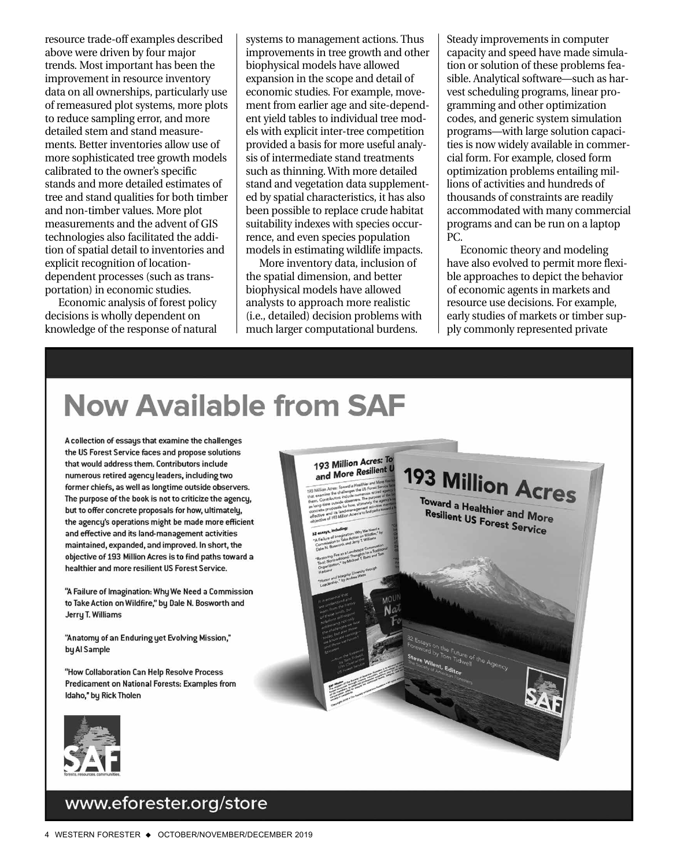resource trade-off examples described above were driven by four major trends. Most important has been the improvement in resource inventory data on all ownerships, particularly use of remeasured plot systems, more plots to reduce sampling error, and more detailed stem and stand measurements. Better inventories allow use of more sophisticated tree growth models calibrated to the owner's specific stands and more detailed estimates of tree and stand qualities for both timber and non-timber values. More plot measurements and the advent of GIS technologies also facilitated the addition of spatial detail to inventories and explicit recognition of locationdependent processes (such as transportation) in economic studies.

Economic analysis of forest policy decisions is wholly dependent on knowledge of the response of natural

systems to management actions. Thus improvements in tree growth and other biophysical models have allowed expansion in the scope and detail of economic studies. For example, movement from earlier age and site-dependent yield tables to individual tree models with explicit inter-tree competition provided a basis for more useful analysis of intermediate stand treatments such as thinning. With more detailed stand and vegetation data supplemented by spatial characteristics, it has also been possible to replace crude habitat suitability indexes with species occurrence, and even species population models in estimating wildlife impacts.

More inventory data, inclusion of the spatial dimension, and better biophysical models have allowed analysts to approach more realistic (i.e., detailed) decision problems with much larger computational burdens.

Steady improvements in computer capacity and speed have made simulation or solution of these problems feasible. Analytical software—such as harvest scheduling programs, linear programming and other optimization codes, and generic system simulation programs—with large solution capacities is now widely available in commercial form. For example, closed form optimization problems entailing millions of activities and hundreds of thousands of constraints are readily accommodated with many commercial programs and can be run on a laptop PC.

Economic theory and modeling have also evolved to permit more flexible approaches to depict the behavior of economic agents in markets and resource use decisions. For example, early studies of markets or timber supply commonly represented private



### www.eforester.org/store